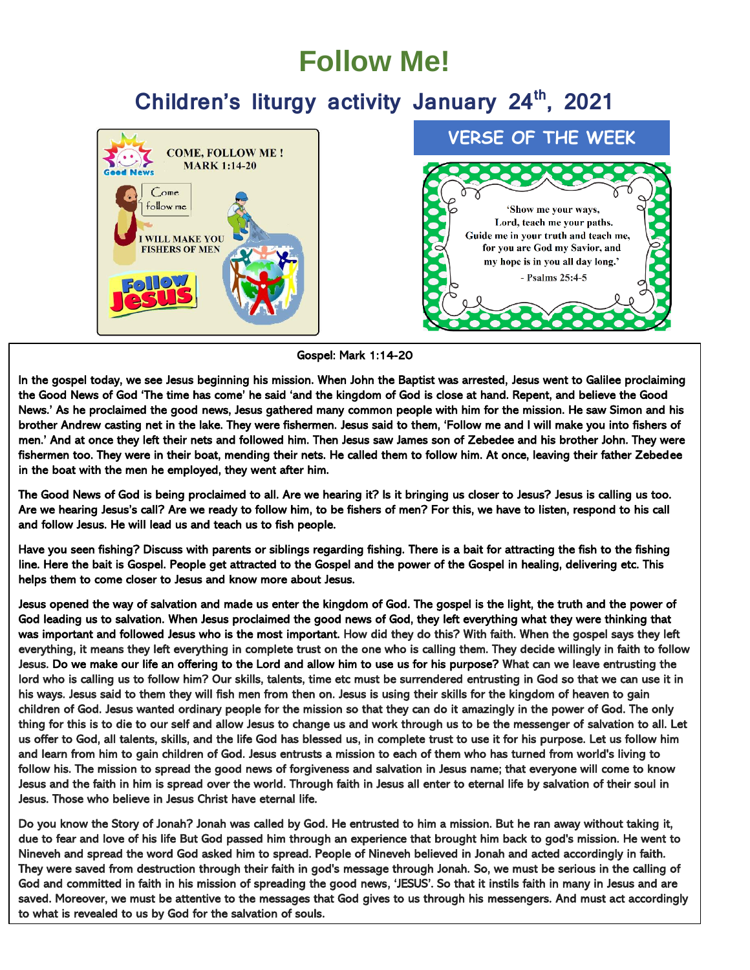## **Follow Me!**

### **Children's liturgy activity January 24th, 2021**



#### Gospel: Mark 1:14-20

In the gospel today, we see Jesus beginning his mission. When John the Baptist was arrested, Jesus went to Galilee proclaiming the Good News of God 'The time has come' he said 'and the kingdom of God is close at hand. Repent, and believe the Good News.' As he proclaimed the good news, Jesus gathered many common people with him for the mission. He saw Simon and his brother Andrew casting net in the lake. They were fishermen. Jesus said to them, 'Follow me and I will make you into fishers of men.' And at once they left their nets and followed him. Then Jesus saw James son of Zebedee and his brother John. They were fishermen too. They were in their boat, mending their nets. He called them to follow him. At once, leaving their father Zebedee in the boat with the men he employed, they went after him.

The Good News of God is being proclaimed to all. Are we hearing it? Is it bringing us closer to Jesus? Jesus is calling us too. Are we hearing Jesus's call? Are we ready to follow him, to be fishers of men? For this, we have to listen, respond to his call and follow Jesus. He will lead us and teach us to fish people.

Have you seen fishing? Discuss with parents or siblings regarding fishing. There is a bait for attracting the fish to the fishing line. Here the bait is Gospel. People get attracted to the Gospel and the power of the Gospel in healing, delivering etc. This helps them to come closer to Jesus and know more about Jesus.

Jesus opened the way of salvation and made us enter the kingdom of God. The gospel is the light, the truth and the power of God leading us to salvation. When Jesus proclaimed the good news of God, they left everything what they were thinking that was important and followed Jesus who is the most important. How did they do this? With faith. When the gospel says they left everything, it means they left everything in complete trust on the one who is calling them. They decide willingly in faith to follow Jesus. Do we make our life an offering to the Lord and allow him to use us for his purpose? What can we leave entrusting the lord who is calling us to follow him? Our skills, talents, time etc must be surrendered entrusting in God so that we can use it in his ways. Jesus said to them they will fish men from then on. Jesus is using their skills for the kingdom of heaven to gain children of God. Jesus wanted ordinary people for the mission so that they can do it amazingly in the power of God. The only thing for this is to die to our self and allow Jesus to change us and work through us to be the messenger of salvation to all. Let us offer to God, all talents, skills, and the life God has blessed us, in complete trust to use it for his purpose. Let us follow him and learn from him to gain children of God. Jesus entrusts a mission to each of them who has turned from world's living to follow his. The mission to spread the good news of forgiveness and salvation in Jesus name; that everyone will come to know Jesus and the faith in him is spread over the world. Through faith in Jesus all enter to eternal life by salvation of their soul in Jesus. Those who believe in Jesus Christ have eternal life.

Do you know the Story of Jonah? Jonah was called by God. He entrusted to him a mission. But he ran away without taking it, due to fear and love of his life But God passed him through an experience that brought him back to god's mission. He went to Nineveh and spread the word God asked him to spread. People of Nineveh believed in Jonah and acted accordingly in faith. They were saved from destruction through their faith in god's message through Jonah. So, we must be serious in the calling of God and committed in faith in his mission of spreading the good news, 'JESUS'. So that it instils faith in many in Jesus and are saved. Moreover, we must be attentive to the messages that God gives to us through his messengers. And must act accordingly to what is revealed to us by God for the salvation of souls.

Ī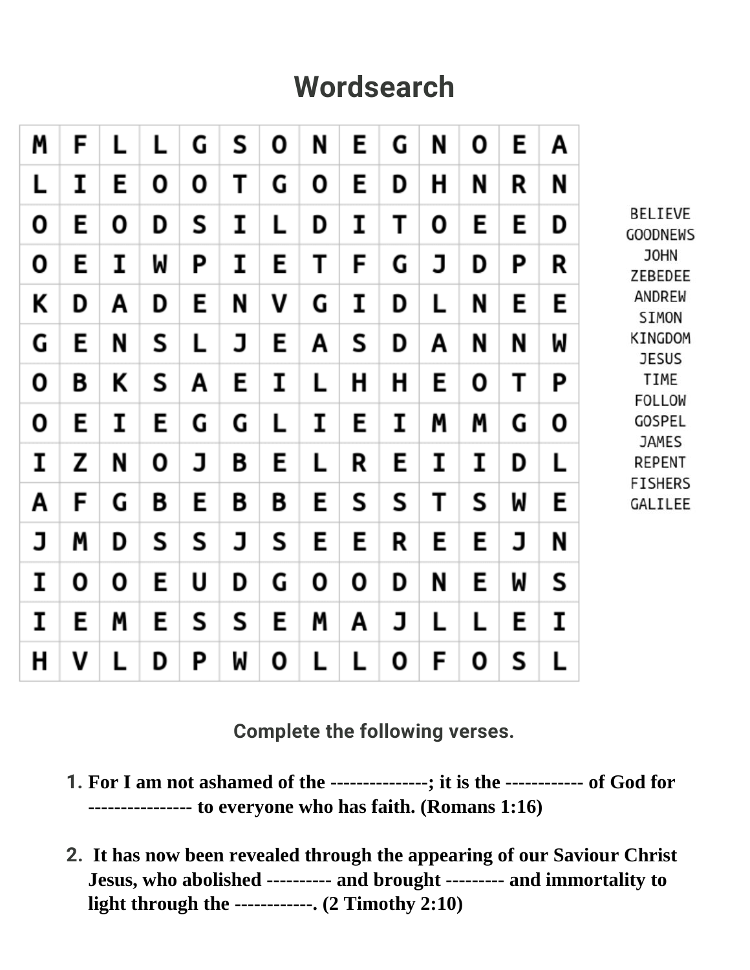# **Wordsearch**



**Complete the following verses.**

- **1. For I am not ashamed of the ---------------; it is the ------------ of God for ---------------- to everyone who has faith. (Romans 1:16)**
- **2. It has now been revealed through the appearing of our Saviour Christ Jesus, who abolished ---------- and brought --------- and immortality to light through the ------------. (2 Timothy 2:10)**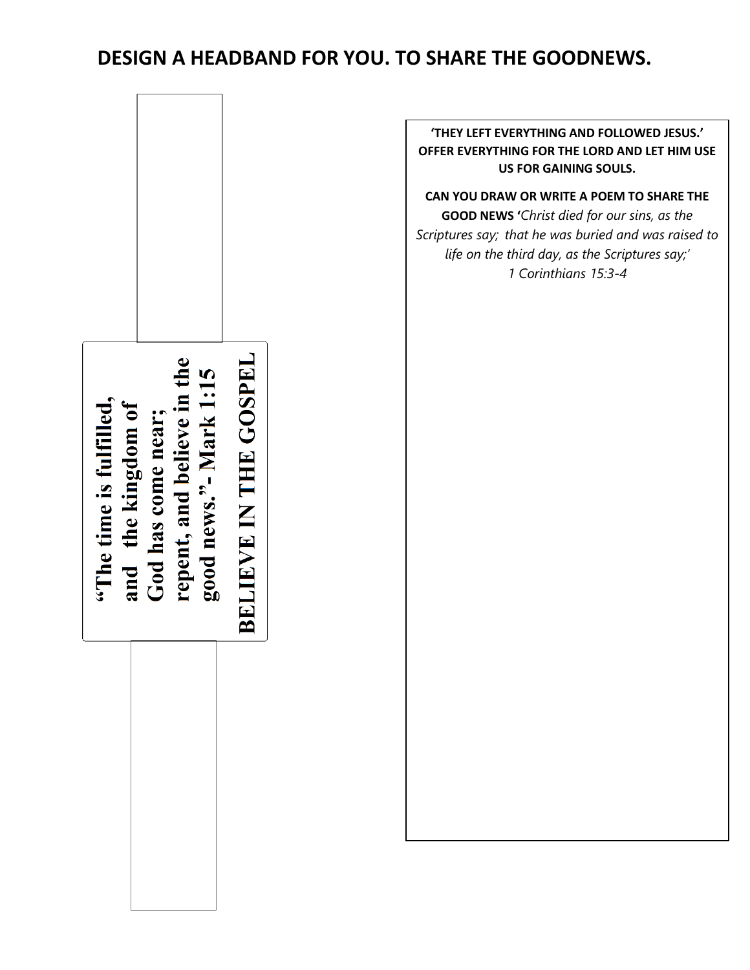### **DESIGN A HEADBAND FOR YOU. TO SHARE THE GOODNEWS.**



**'THEY LEFT EVERYTHING AND FOLLOWED JESUS.' OFFER EVERYTHING FOR THE LORD AND LET HIM USE US FOR GAINING SOULS.**

**CAN YOU DRAW OR WRITE A POEM TO SHARE THE GOOD NEWS '***Christ died for our sins, as the Scriptures say; that he was buried and was raised to life on the third day, as the Scriptures say;' 1 Corinthians 15:3-4*